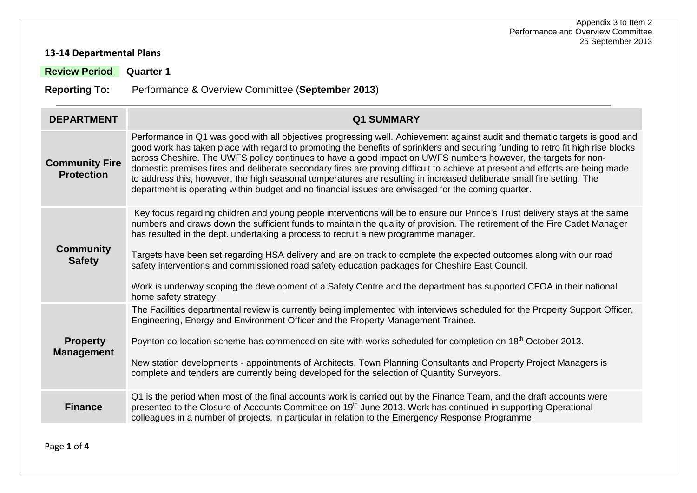#### **13-14 Departmental Plans**

**Review Period Quarter 1**

**Reporting To:** Performance & Overview Committee (**September 2013**)

| <b>DEPARTMENT</b>                          | <b>Q1 SUMMARY</b>                                                                                                                                                                                                                                                                                                                                                                                                                                                                                                                                                                                                                                                                                                                                   |
|--------------------------------------------|-----------------------------------------------------------------------------------------------------------------------------------------------------------------------------------------------------------------------------------------------------------------------------------------------------------------------------------------------------------------------------------------------------------------------------------------------------------------------------------------------------------------------------------------------------------------------------------------------------------------------------------------------------------------------------------------------------------------------------------------------------|
| <b>Community Fire</b><br><b>Protection</b> | Performance in Q1 was good with all objectives progressing well. Achievement against audit and thematic targets is good and<br>good work has taken place with regard to promoting the benefits of sprinklers and securing funding to retro fit high rise blocks<br>across Cheshire. The UWFS policy continues to have a good impact on UWFS numbers however, the targets for non-<br>domestic premises fires and deliberate secondary fires are proving difficult to achieve at present and efforts are being made<br>to address this, however, the high seasonal temperatures are resulting in increased deliberate small fire setting. The<br>department is operating within budget and no financial issues are envisaged for the coming quarter. |
| <b>Community</b><br><b>Safety</b>          | Key focus regarding children and young people interventions will be to ensure our Prince's Trust delivery stays at the same<br>numbers and draws down the sufficient funds to maintain the quality of provision. The retirement of the Fire Cadet Manager<br>has resulted in the dept. undertaking a process to recruit a new programme manager.<br>Targets have been set regarding HSA delivery and are on track to complete the expected outcomes along with our road<br>safety interventions and commissioned road safety education packages for Cheshire East Council.<br>Work is underway scoping the development of a Safety Centre and the department has supported CFOA in their national<br>home safety strategy.                          |
| <b>Property</b><br><b>Management</b>       | The Facilities departmental review is currently being implemented with interviews scheduled for the Property Support Officer,<br>Engineering, Energy and Environment Officer and the Property Management Trainee.<br>Poynton co-location scheme has commenced on site with works scheduled for completion on 18 <sup>th</sup> October 2013.<br>New station developments - appointments of Architects, Town Planning Consultants and Property Project Managers is<br>complete and tenders are currently being developed for the selection of Quantity Surveyors.                                                                                                                                                                                     |
| <b>Finance</b>                             | Q1 is the period when most of the final accounts work is carried out by the Finance Team, and the draft accounts were<br>presented to the Closure of Accounts Committee on 19 <sup>th</sup> June 2013. Work has continued in supporting Operational<br>colleagues in a number of projects, in particular in relation to the Emergency Response Programme.                                                                                                                                                                                                                                                                                                                                                                                           |

Page **1** of **4**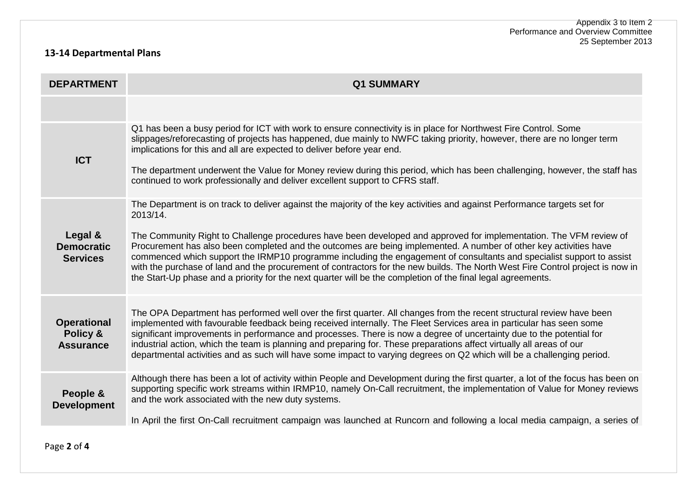## **13-14 Departmental Plans**

| <b>DEPARTMENT</b>                                  | <b>Q1 SUMMARY</b>                                                                                                                                                                                                                                                                                                                                                                                                                                                                                                                                                                                                                                                                                                                                          |
|----------------------------------------------------|------------------------------------------------------------------------------------------------------------------------------------------------------------------------------------------------------------------------------------------------------------------------------------------------------------------------------------------------------------------------------------------------------------------------------------------------------------------------------------------------------------------------------------------------------------------------------------------------------------------------------------------------------------------------------------------------------------------------------------------------------------|
|                                                    |                                                                                                                                                                                                                                                                                                                                                                                                                                                                                                                                                                                                                                                                                                                                                            |
| <b>ICT</b>                                         | Q1 has been a busy period for ICT with work to ensure connectivity is in place for Northwest Fire Control. Some<br>slippages/reforecasting of projects has happened, due mainly to NWFC taking priority, however, there are no longer term<br>implications for this and all are expected to deliver before year end.<br>The department underwent the Value for Money review during this period, which has been challenging, however, the staff has<br>continued to work professionally and deliver excellent support to CFRS staff.                                                                                                                                                                                                                        |
| Legal &<br><b>Democratic</b><br><b>Services</b>    | The Department is on track to deliver against the majority of the key activities and against Performance targets set for<br>2013/14.<br>The Community Right to Challenge procedures have been developed and approved for implementation. The VFM review of<br>Procurement has also been completed and the outcomes are being implemented. A number of other key activities have<br>commenced which support the IRMP10 programme including the engagement of consultants and specialist support to assist<br>with the purchase of land and the procurement of contractors for the new builds. The North West Fire Control project is now in<br>the Start-Up phase and a priority for the next quarter will be the completion of the final legal agreements. |
| <b>Operational</b><br>Policy &<br><b>Assurance</b> | The OPA Department has performed well over the first quarter. All changes from the recent structural review have been<br>implemented with favourable feedback being received internally. The Fleet Services area in particular has seen some<br>significant improvements in performance and processes. There is now a degree of uncertainty due to the potential for<br>industrial action, which the team is planning and preparing for. These preparations affect virtually all areas of our<br>departmental activities and as such will have some impact to varying degrees on Q2 which will be a challenging period.                                                                                                                                    |
| People &<br><b>Development</b>                     | Although there has been a lot of activity within People and Development during the first quarter, a lot of the focus has been on<br>supporting specific work streams within IRMP10, namely On-Call recruitment, the implementation of Value for Money reviews<br>and the work associated with the new duty systems.<br>In April the first On-Call recruitment campaign was launched at Runcorn and following a local media campaign, a series of                                                                                                                                                                                                                                                                                                           |

Page **2** of **4**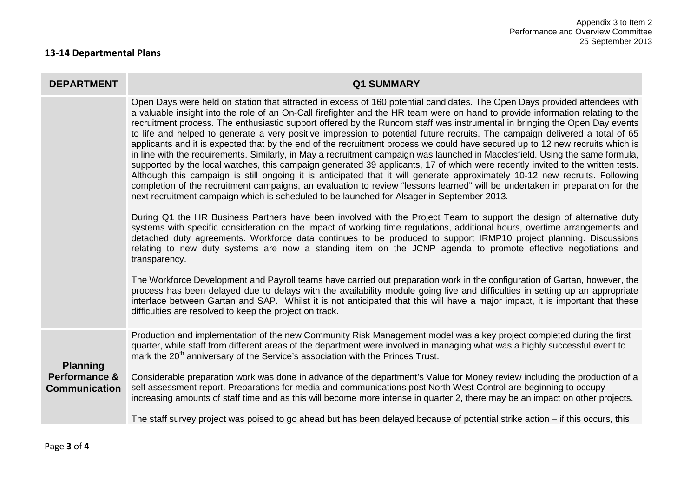## **13-14 Departmental Plans**

| <b>DEPARTMENT</b>                                                   | <b>Q1 SUMMARY</b>                                                                                                                                                                                                                                                                                                                                                                                                                                                                                                                                                                                                                                                                                                                                                                                                                                                                                                                                                                                                                                                                                                                                                                                                                                                                            |
|---------------------------------------------------------------------|----------------------------------------------------------------------------------------------------------------------------------------------------------------------------------------------------------------------------------------------------------------------------------------------------------------------------------------------------------------------------------------------------------------------------------------------------------------------------------------------------------------------------------------------------------------------------------------------------------------------------------------------------------------------------------------------------------------------------------------------------------------------------------------------------------------------------------------------------------------------------------------------------------------------------------------------------------------------------------------------------------------------------------------------------------------------------------------------------------------------------------------------------------------------------------------------------------------------------------------------------------------------------------------------|
|                                                                     | Open Days were held on station that attracted in excess of 160 potential candidates. The Open Days provided attendees with<br>a valuable insight into the role of an On-Call firefighter and the HR team were on hand to provide information relating to the<br>recruitment process. The enthusiastic support offered by the Runcorn staff was instrumental in bringing the Open Day events<br>to life and helped to generate a very positive impression to potential future recruits. The campaign delivered a total of 65<br>applicants and it is expected that by the end of the recruitment process we could have secured up to 12 new recruits which is<br>in line with the requirements. Similarly, in May a recruitment campaign was launched in Macclesfield. Using the same formula,<br>supported by the local watches, this campaign generated 39 applicants, 17 of which were recently invited to the written tests.<br>Although this campaign is still ongoing it is anticipated that it will generate approximately 10-12 new recruits. Following<br>completion of the recruitment campaigns, an evaluation to review "lessons learned" will be undertaken in preparation for the<br>next recruitment campaign which is scheduled to be launched for Alsager in September 2013. |
|                                                                     | During Q1 the HR Business Partners have been involved with the Project Team to support the design of alternative duty<br>systems with specific consideration on the impact of working time regulations, additional hours, overtime arrangements and<br>detached duty agreements. Workforce data continues to be produced to support IRMP10 project planning. Discussions<br>relating to new duty systems are now a standing item on the JCNP agenda to promote effective negotiations and<br>transparency.                                                                                                                                                                                                                                                                                                                                                                                                                                                                                                                                                                                                                                                                                                                                                                                   |
|                                                                     | The Workforce Development and Payroll teams have carried out preparation work in the configuration of Gartan, however, the<br>process has been delayed due to delays with the availability module going live and difficulties in setting up an appropriate<br>interface between Gartan and SAP. Whilst it is not anticipated that this will have a major impact, it is important that these<br>difficulties are resolved to keep the project on track.                                                                                                                                                                                                                                                                                                                                                                                                                                                                                                                                                                                                                                                                                                                                                                                                                                       |
| <b>Planning</b><br><b>Performance &amp;</b><br><b>Communication</b> | Production and implementation of the new Community Risk Management model was a key project completed during the first<br>quarter, while staff from different areas of the department were involved in managing what was a highly successful event to<br>mark the 20 <sup>th</sup> anniversary of the Service's association with the Princes Trust.                                                                                                                                                                                                                                                                                                                                                                                                                                                                                                                                                                                                                                                                                                                                                                                                                                                                                                                                           |
|                                                                     | Considerable preparation work was done in advance of the department's Value for Money review including the production of a<br>self assessment report. Preparations for media and communications post North West Control are beginning to occupy<br>increasing amounts of staff time and as this will become more intense in quarter 2, there may be an impact on other projects.                                                                                                                                                                                                                                                                                                                                                                                                                                                                                                                                                                                                                                                                                                                                                                                                                                                                                                             |
|                                                                     | The staff survey project was poised to go ahead but has been delayed because of potential strike action – if this occurs, this                                                                                                                                                                                                                                                                                                                                                                                                                                                                                                                                                                                                                                                                                                                                                                                                                                                                                                                                                                                                                                                                                                                                                               |

Page **3** of **4**